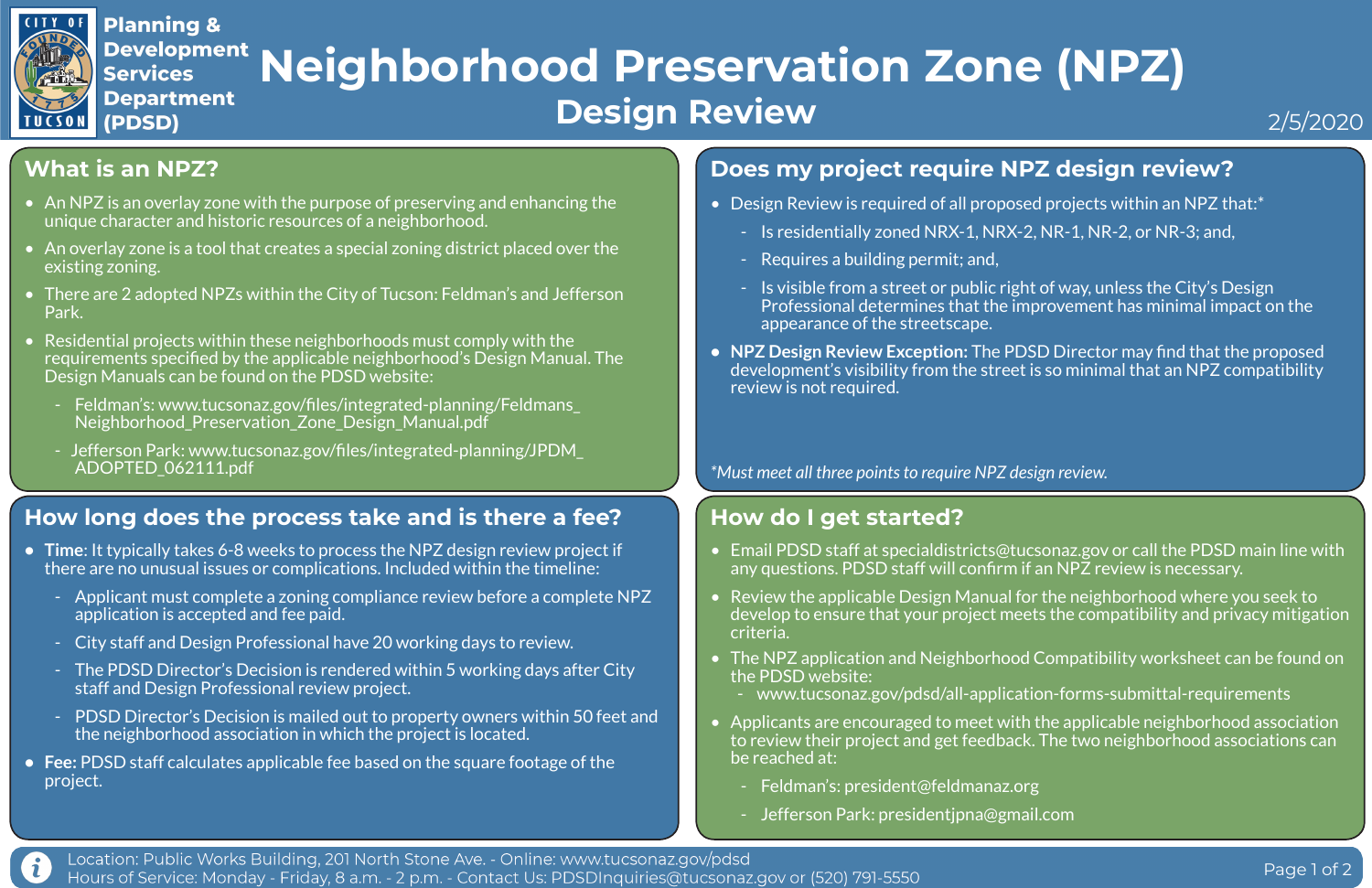# **What is an NPZ?**

- An NPZ is an overlay zone with the purpose of preserving and enhancing the unique character and historic resources of a neighborhood.
- An overlay zone is a tool that creates a special zoning district placed over the existing zoning.
- There are 2 adopted NPZs within the City of Tucson: Feldman's and Jefferson Park.
- Residential projects within these neighborhoods must comply with the requirements specified by the applicable neighborhood's Design Manual. The Design Manuals can be found on the PDSD website:
	- Feldman's: www.tucsonaz.gov/files/integrated-planning/Feldmans\_ Neighborhood\_Preservation\_Zone\_Design\_Manual.pdf
	- Jefferson Park: www.tucsonaz.gov/files/integrated-planning/JPDM\_ ADOPTED\_062111.pdf
- Design Review is required of all proposed projects within an NPZ that:\*
	- Is residentially zoned NRX-1, NRX-2, NR-1, NR-2, or NR-3; and,
	- Requires a building permit; and,
	- Is visible from a street or public right of way, unless the City's Design appearance of the streetscape.
- review is not required.

# **Does my project require NPZ design review?**

Professional determines that the improvement has minimal impact on the

**• NPZ Design Review Exception:** The PDSD Director may find that the proposed development's visibility from the street is so minimal that an NPZ compatibility

## **How long does the process take and is there a fee?**



## **Development Neighborhood Preservation Zone (NPZ) Department Design Review**

- **• Time**: It typically takes 6-8 weeks to process the NPZ design review project if there are no unusual issues or complications. Included within the timeline:
	- Applicant must complete a zoning compliance review before a complete NPZ application is accepted and fee paid.
	- City staff and Design Professional have 20 working days to review.
	- The PDSD Director's Decision is rendered within 5 working days after City staff and Design Professional review project.
	- PDSD Director's Decision is mailed out to property owners within 50 feet and the neighborhood association in which the project is located.
- **• Fee:** PDSD staff calculates applicable fee based on the square footage of the project.

# **How do I get started?**

• Email PDSD staff at specialdistricts@tucsonaz.gov or call the PDSD main line with

develop to ensure that your project meets the compatibility and privacy mitigation

• The NPZ application and Neighborhood Compatibility worksheet can be found on

- any questions. PDSD staff will confirm if an NPZ review is necessary.
- Review the applicable Design Manual for the neighborhood where you seek to criteria.
- the PDSD website:
	-
- be reached at:
	- Feldman's: president@feldmanaz.org
	- Jefferson Park: presidentjpna@gmail.com



- www.tucsonaz.gov/pdsd/all-application-forms-submittal-requirements

• Applicants are encouraged to meet with the applicable neighborhood association to review their project and get feedback. The two neighborhood associations can

Page 1 of 2

*\*Must meet all three points to require NPZ design review.*